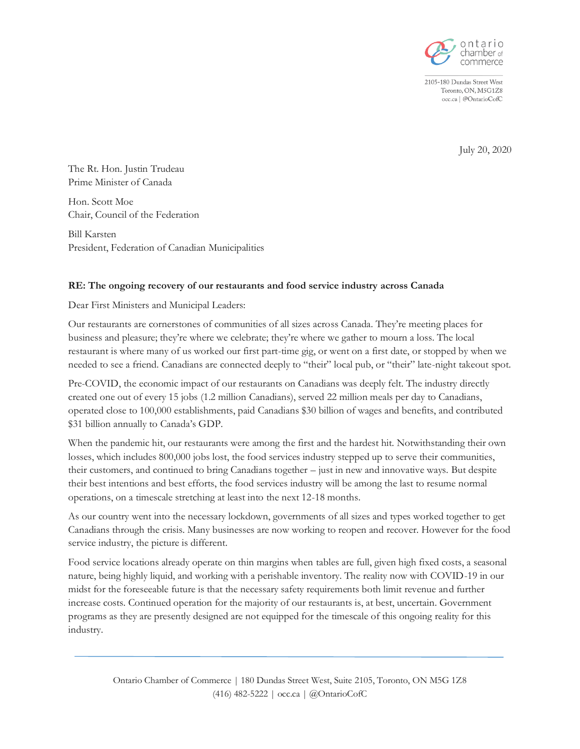

2105-180 Dundas Street West Toronto, ON, M5G1Z8 occ.ca | @OntarioCofC

July 20, 2020

The Rt. Hon. Justin Trudeau Prime Minister of Canada

Hon. Scott Moe Chair, Council of the Federation

Bill Karsten President, Federation of Canadian Municipalities

# **RE: The ongoing recovery of our restaurants and food service industry across Canada**

Dear First Ministers and Municipal Leaders:

Our restaurants are cornerstones of communities of all sizes across Canada. They're meeting places for business and pleasure; they're where we celebrate; they're where we gather to mourn a loss. The local restaurant is where many of us worked our first part-time gig, or went on a first date, or stopped by when we needed to see a friend. Canadians are connected deeply to "their" local pub, or "their" late-night takeout spot.

Pre-COVID, the economic impact of our restaurants on Canadians was deeply felt. The industry directly created one out of every 15 jobs (1.2 million Canadians), served 22 million meals per day to Canadians, operated close to 100,000 establishments, paid Canadians \$30 billion of wages and benefits, and contributed \$31 billion annually to Canada's GDP.

When the pandemic hit, our restaurants were among the first and the hardest hit. Notwithstanding their own losses, which includes 800,000 jobs lost, the food services industry stepped up to serve their communities, their customers, and continued to bring Canadians together – just in new and innovative ways. But despite their best intentions and best efforts, the food services industry will be among the last to resume normal operations, on a timescale stretching at least into the next 12-18 months.

As our country went into the necessary lockdown, governments of all sizes and types worked together to get Canadians through the crisis. Many businesses are now working to reopen and recover. However for the food service industry, the picture is different.

Food service locations already operate on thin margins when tables are full, given high fixed costs, a seasonal nature, being highly liquid, and working with a perishable inventory. The reality now with COVID-19 in our midst for the foreseeable future is that the necessary safety requirements both limit revenue and further increase costs. Continued operation for the majority of our restaurants is, at best, uncertain. Government programs as they are presently designed are not equipped for the timescale of this ongoing reality for this industry.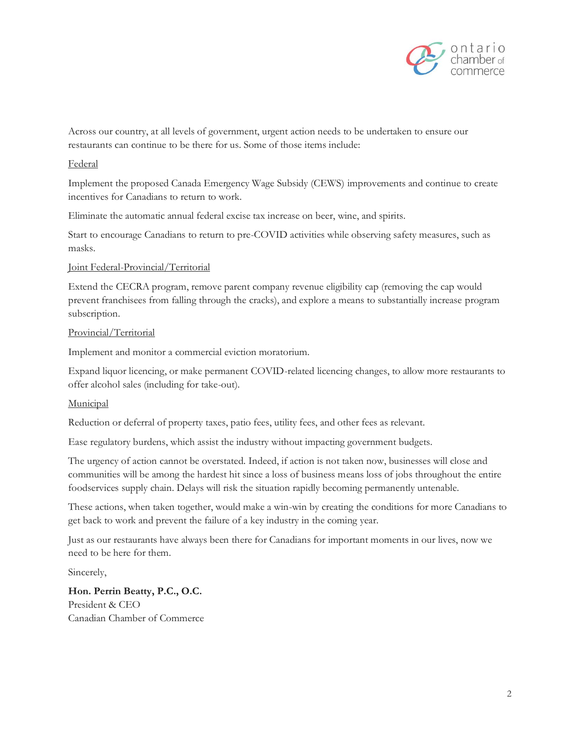

Across our country, at all levels of government, urgent action needs to be undertaken to ensure our restaurants can continue to be there for us. Some of those items include:

## Federal

Implement the proposed Canada Emergency Wage Subsidy (CEWS) improvements and continue to create incentives for Canadians to return to work.

Eliminate the automatic annual federal excise tax increase on beer, wine, and spirits.

Start to encourage Canadians to return to pre-COVID activities while observing safety measures, such as masks.

### Joint Federal-Provincial/Territorial

Extend the CECRA program, remove parent company revenue eligibility cap (removing the cap would prevent franchisees from falling through the cracks), and explore a means to substantially increase program subscription.

### Provincial/Territorial

Implement and monitor a commercial eviction moratorium.

Expand liquor licencing, or make permanent COVID-related licencing changes, to allow more restaurants to offer alcohol sales (including for take-out).

# Municipal

Reduction or deferral of property taxes, patio fees, utility fees, and other fees as relevant.

Ease regulatory burdens, which assist the industry without impacting government budgets.

The urgency of action cannot be overstated. Indeed, if action is not taken now, businesses will close and communities will be among the hardest hit since a loss of business means loss of jobs throughout the entire foodservices supply chain. Delays will risk the situation rapidly becoming permanently untenable.

These actions, when taken together, would make a win-win by creating the conditions for more Canadians to get back to work and prevent the failure of a key industry in the coming year.

Just as our restaurants have always been there for Canadians for important moments in our lives, now we need to be here for them.

Sincerely,

**Hon. Perrin Beatty, P.C., O.C.** President & CEO Canadian Chamber of Commerce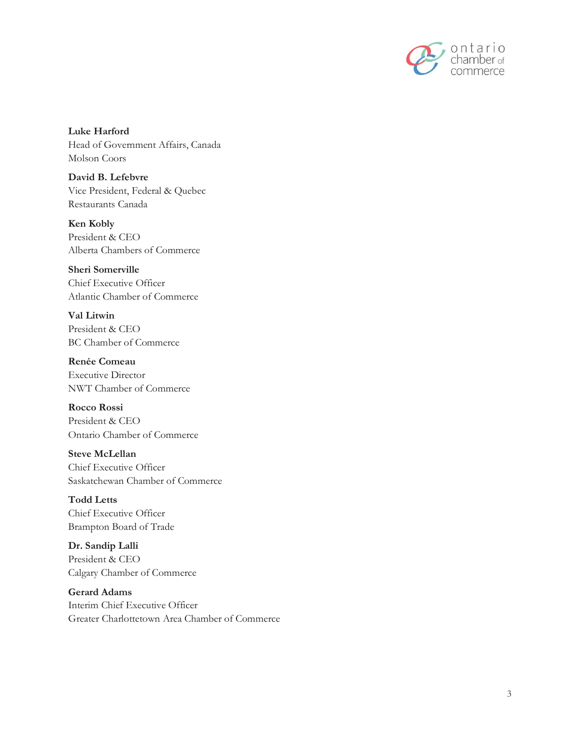

**Luke Harford** Head of Government Affairs, Canada Molson Coors

**David B. Lefebvre** Vice President, Federal & Quebec Restaurants Canada

**Ken Kobly** President & CEO Alberta Chambers of Commerce

**Sheri Somerville** Chief Executive Officer Atlantic Chamber of Commerce

**Val Litwin** President & CEO BC Chamber of Commerce

**Renée Comeau** Executive Director NWT Chamber of Commerce

**Rocco Rossi** President & CEO Ontario Chamber of Commerce

**Steve McLellan** Chief Executive Officer Saskatchewan Chamber of Commerce

**Todd Letts** Chief Executive Officer Brampton Board of Trade

**Dr. Sandip Lalli** President & CEO Calgary Chamber of Commerce

**Gerard Adams** Interim Chief Executive Officer Greater Charlottetown Area Chamber of Commerce